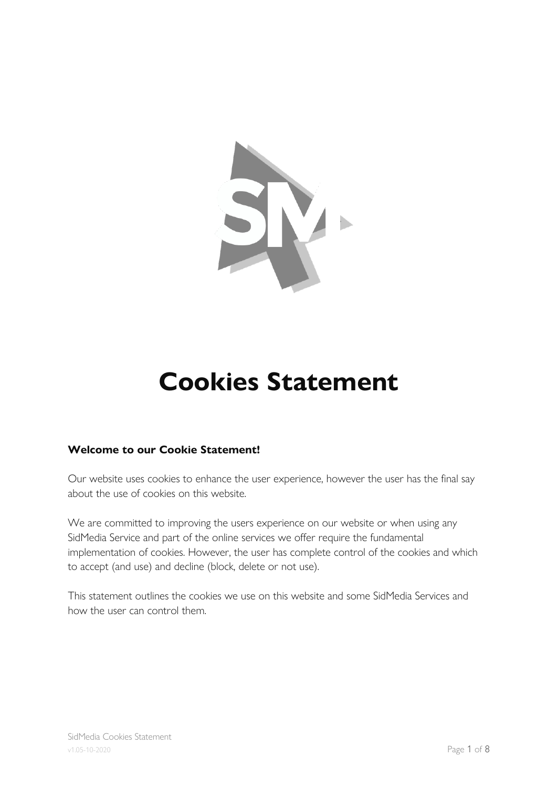

# **Cookies Statement**

## **Welcome to our Cookie Statement!**

Our website uses cookies to enhance the user experience, however the user has the final say about the use of cookies on this website.

We are committed to improving the users experience on our website or when using any SidMedia Service and part of the online services we offer require the fundamental implementation of cookies. However, the user has complete control of the cookies and which to accept (and use) and decline (block, delete or not use).

This statement outlines the cookies we use on this website and some SidMedia Services and how the user can control them.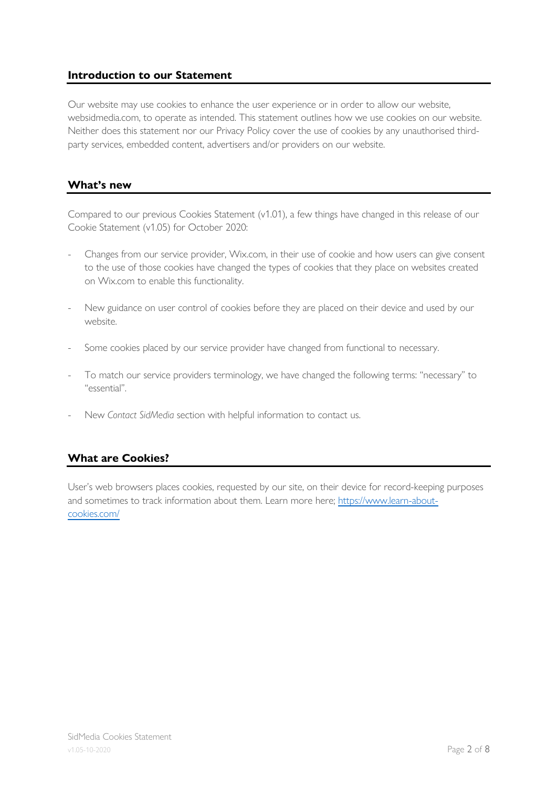#### **Introduction to our Statement**

Our website may use cookies to enhance the user experience or in order to allow our website, websidmedia.com, to operate as intended. This statement outlines how we use cookies on our website. Neither does this statement nor our Privacy Policy cover the use of cookies by any unauthorised thirdparty services, embedded content, advertisers and/or providers on our website.

#### **What's new**

Compared to our previous Cookies Statement (v1.01), a few things have changed in this release of our Cookie Statement (v1.05) for October 2020:

- Changes from our service provider, Wix.com, in their use of cookie and how users can give consent to the use of those cookies have changed the types of cookies that they place on websites created on Wix.com to enable this functionality.
- New guidance on user control of cookies before they are placed on their device and used by our website.
- Some cookies placed by our service provider have changed from functional to necessary.
- To match our service providers terminology, we have changed the following terms: "necessary" to "essential".
- New *Contact SidMedia* section with helpful information to contact us.

### **What are Cookies?**

User's web browsers places cookies, requested by our site, on their device for record-keeping purposes and sometimes to track information about them. Learn more here; https://www.learn-aboutcookies.com/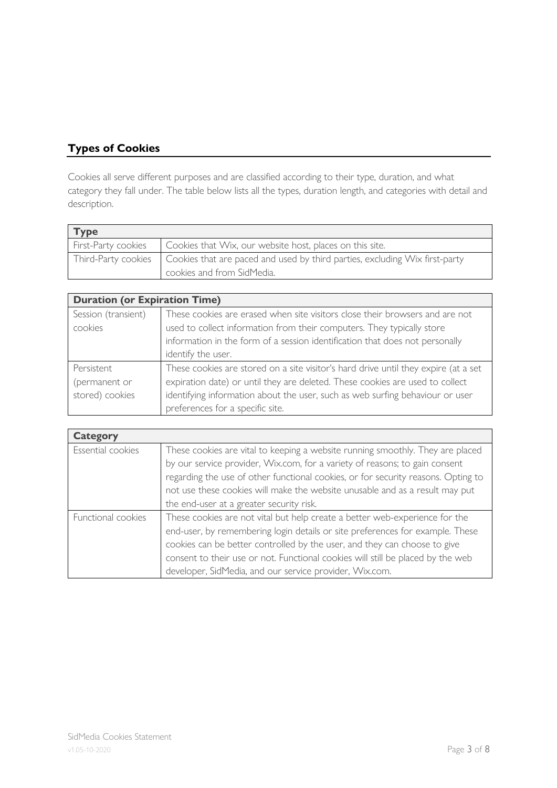## **Types of Cookies**

Cookies all serve different purposes and are classified according to their type, duration, and what category they fall under. The table below lists all the types, duration length, and categories with detail and description.

| <b>Type</b>         |                                                                             |
|---------------------|-----------------------------------------------------------------------------|
| First-Party cookies | Cookies that Wix, our website host, places on this site.                    |
| Third-Party cookies | Cookies that are paced and used by third parties, excluding Wix first-party |
|                     | cookies and from SidMedia.                                                  |

| <b>Duration (or Expiration Time)</b> |                                                                                     |  |
|--------------------------------------|-------------------------------------------------------------------------------------|--|
| Session (transient)                  | These cookies are erased when site visitors close their browsers and are not        |  |
| cookies                              | used to collect information from their computers. They typically store              |  |
|                                      | information in the form of a session identification that does not personally        |  |
|                                      | identify the user.                                                                  |  |
| Persistent                           | These cookies are stored on a site visitor's hard drive until they expire (at a set |  |
| (permanent or                        | expiration date) or until they are deleted. These cookies are used to collect       |  |
| stored) cookies                      | identifying information about the user, such as web surfing behaviour or user       |  |
|                                      | preferences for a specific site.                                                    |  |

| <b>Category</b>    |                                                                                   |
|--------------------|-----------------------------------------------------------------------------------|
| Essential cookies  | These cookies are vital to keeping a website running smoothly. They are placed    |
|                    | by our service provider, Wix.com, for a variety of reasons; to gain consent       |
|                    | regarding the use of other functional cookies, or for security reasons. Opting to |
|                    | not use these cookies will make the website unusable and as a result may put      |
|                    | the end-user at a greater security risk.                                          |
| Functional cookies | These cookies are not vital but help create a better web-experience for the       |
|                    | end-user, by remembering login details or site preferences for example. These     |
|                    | cookies can be better controlled by the user, and they can choose to give         |
|                    | consent to their use or not. Functional cookies will still be placed by the web   |
|                    | developer, SidMedia, and our service provider, Wix.com.                           |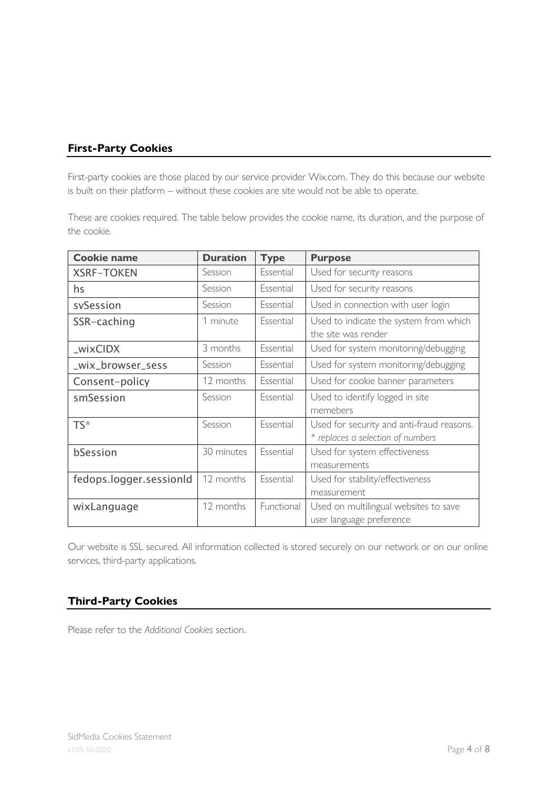## **First-Party Cookies**

First-party cookies are those placed by our service provider Wix.com. They do this because our website is built on their platform – without these cookies are site would not be able to operate.

These are cookies required. The table below provides the cookie name, its duration, and the purpose of the cookie.

| <b>Cookie name</b>      | <b>Duration</b> | <b>Type</b> | <b>Purpose</b>                                                                 |
|-------------------------|-----------------|-------------|--------------------------------------------------------------------------------|
| <b>XSRF-TOKEN</b>       | Session         | Essential   | Used for security reasons                                                      |
| hs                      | Session         | Essential   | Used for security reasons                                                      |
| svSession               | Session         | Essential   | Used in connection with user login                                             |
| SSR-caching             | 1 minute        | Essential   | Used to indicate the system from which<br>the site was render                  |
| _wixCIDX                | 3 months        | Essential   | Used for system monitoring/debugging                                           |
| _wix_browser_sess       | Session         | Essential   | Used for system monitoring/debugging                                           |
| Consent-policy          | 12 months       | Essential   | Used for cookie banner parameters                                              |
| smSession               | Session         | Essential   | Used to identify logged in site<br>memebers                                    |
| $TS^*$                  | Session         | Essential   | Used for security and anti-fraud reasons.<br>* replaces a selection of numbers |
| bSession                | 30 minutes      | Essential   | Used for system effectiveness<br>measurements                                  |
| fedops.logger.sessionId | 12 months       | Essential   | Used for stability/effectiveness<br>measurement                                |
| wixLanguage             | 12 months       | Functional  | Used on multilingual websites to save<br>user language preference              |

Our website is SSL secured. All information collected is stored securely on our network or on our online services, third-party applications.

### **Third-Party Cookies**

Please refer to the *Additional Cookies* section.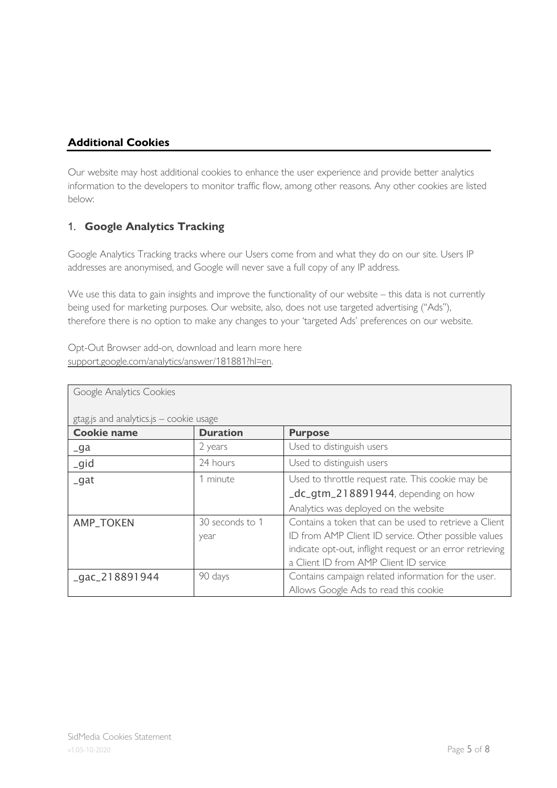## **Additional Cookies**

Our website may host additional cookies to enhance the user experience and provide better analytics information to the developers to monitor traffic flow, among other reasons. Any other cookies are listed below:

## 1. **Google Analytics Tracking**

Google Analytics Tracking tracks where our Users come from and what they do on our site. Users IP addresses are anonymised, and Google will never save a full copy of any IP address.

We use this data to gain insights and improve the functionality of our website – this data is not currently being used for marketing purposes. Our website, also, does not use targeted advertising ("Ads"), therefore there is no option to make any changes to your 'targeted Ads' preferences on our website.

Opt-Out Browser add-on, download and learn more here support.google.com/analytics/answer/181881?hl=en.

| Google Analytics Cookies                |                         |                                                                                                                                                                                                                       |  |
|-----------------------------------------|-------------------------|-----------------------------------------------------------------------------------------------------------------------------------------------------------------------------------------------------------------------|--|
| gtag.js and analytics.js - cookie usage |                         |                                                                                                                                                                                                                       |  |
| <b>Cookie name</b>                      | <b>Duration</b>         | <b>Purpose</b>                                                                                                                                                                                                        |  |
| $-ga$                                   | 2 years                 | Used to distinguish users                                                                                                                                                                                             |  |
| igid                                    | 24 hours                | Used to distinguish users                                                                                                                                                                                             |  |
| $_g$ at                                 | 1 minute                | Used to throttle request rate. This cookie may be<br>_dc_gtm_218891944, depending on how                                                                                                                              |  |
|                                         |                         | Analytics was deployed on the website                                                                                                                                                                                 |  |
| <b>AMP_TOKEN</b>                        | 30 seconds to 1<br>year | Contains a token that can be used to retrieve a Client<br>ID from AMP Client ID service. Other possible values<br>indicate opt-out, inflight request or an error retrieving<br>a Client ID from AMP Client ID service |  |
| $qac_218891944$                         | 90 days                 | Contains campaign related information for the user.<br>Allows Google Ads to read this cookie                                                                                                                          |  |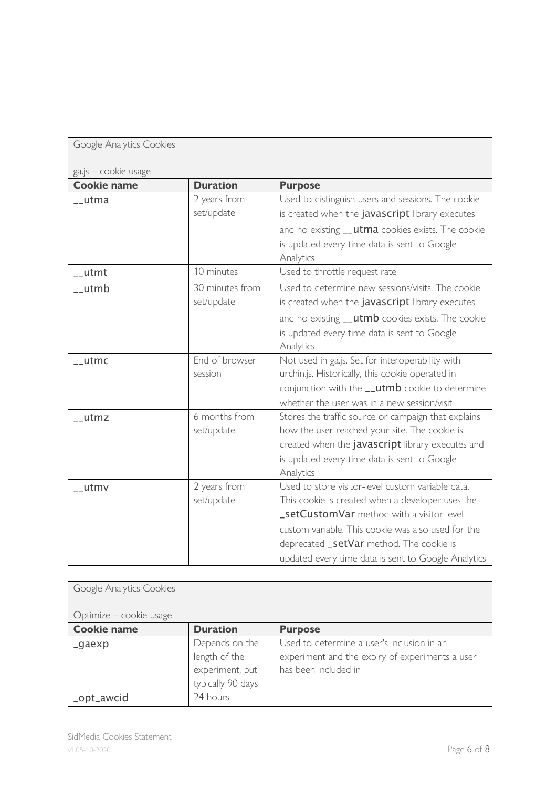| Google Analytics Cookies |                 |                                                                                                   |
|--------------------------|-----------------|---------------------------------------------------------------------------------------------------|
| ga.js - cookie usage     |                 |                                                                                                   |
| <b>Cookie name</b>       | <b>Duration</b> | <b>Purpose</b>                                                                                    |
| __utma                   | 2 years from    | Used to distinguish users and sessions. The cookie                                                |
|                          | set/update      | is created when the javascript library executes                                                   |
|                          |                 | and no existing __utma cookies exists. The cookie                                                 |
|                          |                 | is updated every time data is sent to Google                                                      |
|                          |                 | Analytics                                                                                         |
| utmt                     | 10 minutes      | Used to throttle request rate                                                                     |
| __utmb                   | 30 minutes from | Used to determine new sessions/visits. The cookie                                                 |
|                          | set/update      | is created when the javascript library executes                                                   |
|                          |                 | and no existing __utmb cookies exists. The cookie                                                 |
|                          |                 | is updated every time data is sent to Google                                                      |
|                          |                 | Analytics                                                                                         |
| $_l$ utmc                | End of browser  | Not used in ga.js. Set for interoperability with                                                  |
|                          | session         | urchin.js. Historically, this cookie operated in                                                  |
|                          |                 | conjunction with the __utmb cookie to determine                                                   |
|                          |                 | whether the user was in a new session/visit                                                       |
| __utmz                   | 6 months from   | Stores the traffic source or campaign that explains                                               |
|                          | set/update      | how the user reached your site. The cookie is<br>created when the javascript library executes and |
|                          |                 | is updated every time data is sent to Google                                                      |
|                          |                 | Analytics                                                                                         |
| __utmv                   | 2 years from    | Used to store visitor-level custom variable data.                                                 |
|                          | set/update      | This cookie is created when a developer uses the                                                  |
|                          |                 | _setCustomVar method with a visitor level                                                         |
|                          |                 | custom variable. This cookie was also used for the                                                |
|                          |                 | deprecated _setVar method. The cookie is                                                          |
|                          |                 | updated every time data is sent to Google Analytics                                               |

| Google Analytics Cookies |                   |                                                 |
|--------------------------|-------------------|-------------------------------------------------|
| Optimize – cookie usage  |                   |                                                 |
| <b>Cookie name</b>       | <b>Duration</b>   | <b>Purpose</b>                                  |
| _gaexp                   | Depends on the    | Used to determine a user's inclusion in an      |
|                          | length of the     | experiment and the expiry of experiments a user |
|                          | experiment, but   | has been included in                            |
|                          | typically 90 days |                                                 |
| _opt_awcid               | 24 hours          |                                                 |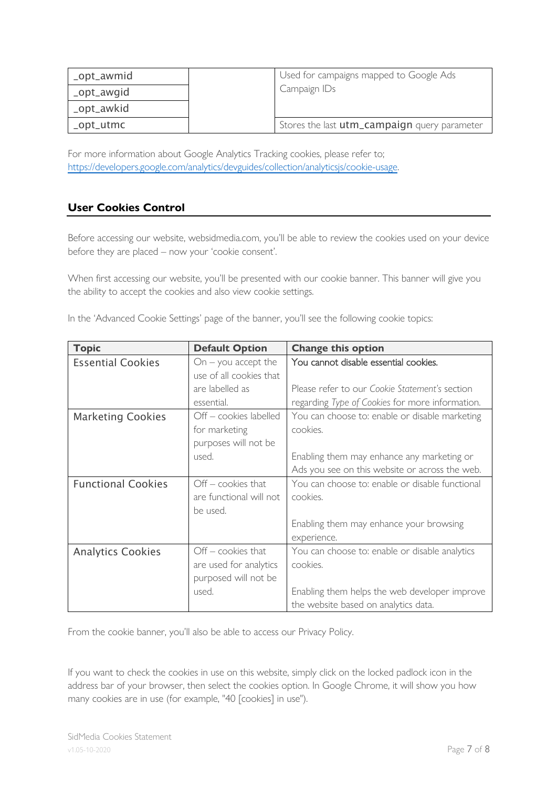| _opt_awmid | Used for campaigns mapped to Google Ads      |
|------------|----------------------------------------------|
| _opt_awgid | Campaign IDs                                 |
| _opt_awkid |                                              |
| _opt_utmc  | Stores the last utm_campaign query parameter |

For more information about Google Analytics Tracking cookies, please refer to; https://developers.google.com/analytics/devguides/collection/analyticsjs/cookie-usage.

## **User Cookies Control**

Before accessing our website, websidmedia.com, you'll be able to review the cookies used on your device before they are placed – now your 'cookie consent'.

When first accessing our website, you'll be presented with our cookie banner. This banner will give you the ability to accept the cookies and also view cookie settings.

| In the 'Advanced Cookie Settings' page of the banner, you'll see the following cookie topics: |  |
|-----------------------------------------------------------------------------------------------|--|
|-----------------------------------------------------------------------------------------------|--|

| <b>Topic</b>              | <b>Default Option</b>                            | <b>Change this option</b>                       |
|---------------------------|--------------------------------------------------|-------------------------------------------------|
| <b>Essential Cookies</b>  | $On - you accept the$<br>use of all cookies that | You cannot disable essential cookies.           |
|                           | are labelled as                                  | Please refer to our Cookie Statement's section  |
|                           | essential.                                       | regarding Type of Cookies for more information. |
| <b>Marketing Cookies</b>  | Off - cookies labelled                           | You can choose to: enable or disable marketing  |
|                           | for marketing                                    | cookies.                                        |
|                           | purposes will not be                             |                                                 |
|                           | used.                                            | Enabling them may enhance any marketing or      |
|                           |                                                  | Ads you see on this website or across the web.  |
| <b>Functional Cookies</b> | $Off$ - cookies that                             | You can choose to: enable or disable functional |
|                           | are functional will not                          | cookies.                                        |
|                           | be used.                                         |                                                 |
|                           |                                                  | Enabling them may enhance your browsing         |
|                           |                                                  | experience.                                     |
| <b>Analytics Cookies</b>  | $Off$ - cookies that                             | You can choose to: enable or disable analytics  |
|                           | are used for analytics                           | cookies.                                        |
|                           | purposed will not be                             |                                                 |
|                           | used.                                            | Enabling them helps the web developer improve   |
|                           |                                                  | the website based on analytics data.            |

From the cookie banner, you'll also be able to access our Privacy Policy.

If you want to check the cookies in use on this website, simply click on the locked padlock icon in the address bar of your browser, then select the cookies option. In Google Chrome, it will show you how many cookies are in use (for example, "40 [cookies] in use").